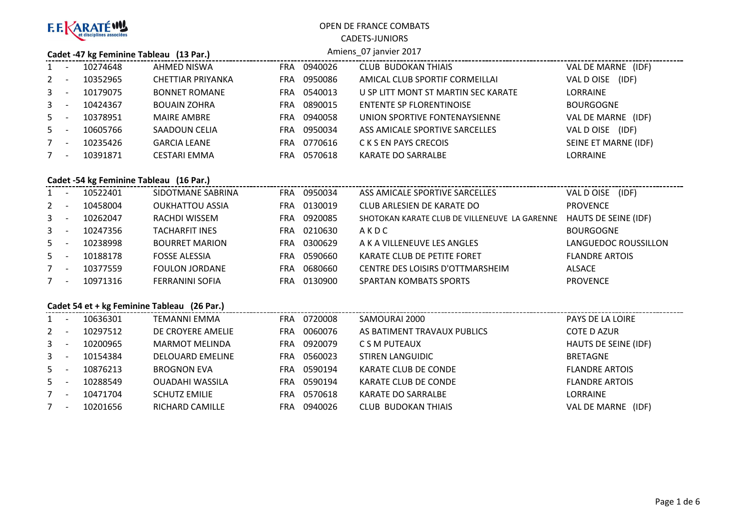

CADETS-JUNIORSAmiens\_07 janvier 2017

#### **Cadet -47 kg Feminine Tableau (13 Par.)**

|                | 10274648 | AHMED NISWA          | <b>FRA</b> | 0940026 | <b>CLUB BUDOKAN THIAIS</b>          | VAL DE MARNE (IDF)   |
|----------------|----------|----------------------|------------|---------|-------------------------------------|----------------------|
| $2^{\circ}$    | 10352965 | CHETTIAR PRIYANKA    | FRA        | 0950086 | AMICAL CLUB SPORTIF CORMEILLAI      | (IDF)<br>VAL D OISE  |
| 3 <sup>1</sup> | 10179075 | <b>BONNET ROMANE</b> | FRA.       | 0540013 | U SP LITT MONT ST MARTIN SEC KARATE | <b>LORRAINE</b>      |
| 3 <sup>7</sup> | 10424367 | <b>BOUAIN ZOHRA</b>  | <b>FRA</b> | 0890015 | <b>ENTENTE SP FLORENTINOISE</b>     | <b>BOURGOGNE</b>     |
| $5 -$          | 10378951 | <b>MAIRE AMBRE</b>   | FRA.       | 0940058 | UNION SPORTIVE FONTENAYSIENNE       | VAL DE MARNE (IDF)   |
| $5 -$          | 10605766 | SAADOUN CELIA        | <b>FRA</b> | 0950034 | ASS AMICALE SPORTIVE SARCELLES      | (IDF)<br>VAL D OISE  |
| $7^{\circ}$    | 10235426 | <b>GARCIA LEANE</b>  | <b>FRA</b> | 0770616 | C K S EN PAYS CRECOIS               | SEINE ET MARNE (IDF) |
| $7^{\circ}$    | 10391871 | <b>CESTARI EMMA</b>  | FRA        | 0570618 | KARATE DO SARRALBE                  | <b>LORRAINE</b>      |
|                |          |                      |            |         |                                     |                      |

## **Cadet -54 kg Feminine Tableau (16 Par.)**

|       | - -      | 10522401 | SIDOTMANE SABRINA      | FRA        | 0950034 | ASS AMICALE SPORTIVE SARCELLES                | (IDF)<br>VAL DOISE          |
|-------|----------|----------|------------------------|------------|---------|-----------------------------------------------|-----------------------------|
| $2 -$ |          | 10458004 | <b>OUKHATTOU ASSIA</b> | <b>FRA</b> | 0130019 | CLUB ARLESIEN DE KARATE DO                    | <b>PROVENCE</b>             |
| $3 -$ |          | 10262047 | RACHDI WISSEM          | FRA        | 0920085 | SHOTOKAN KARATE CLUB DE VILLENEUVE LA GARENNE | <b>HAUTS DE SEINE (IDF)</b> |
| $3 -$ |          | 10247356 | <b>TACHARFIT INES</b>  | FRA        | 0210630 | AKDC                                          | <b>BOURGOGNE</b>            |
| $5 -$ |          | 10238998 | <b>BOURRET MARION</b>  | FRA        | 0300629 | A K A VILLENEUVE LES ANGLES                   | LANGUEDOC ROUSSILLON        |
| $5 -$ |          | 10188178 | <b>FOSSE ALESSIA</b>   | FRA        | 0590660 | KARATE CLUB DE PETITE FORET                   | <b>FLANDRE ARTOIS</b>       |
| $7 -$ |          | 10377559 | <b>FOULON JORDANE</b>  | FRA        | 0680660 | CENTRE DES LOISIRS D'OTTMARSHEIM              | <b>ALSACE</b>               |
| 7     | <b>.</b> | 10971316 | <b>FERRANINI SOFIA</b> | FRA        | 0130900 | <b>SPARTAN KOMBATS SPORTS</b>                 | <b>PROVENCE</b>             |

#### **Cadet 54 et + kg Feminine Tableau (26 Par.)**

| $1 \quad$    |          | 10636301 | TEMANNI EMMA            | <b>FRA</b> | 0720008 | SAMOURAI 2000               | <b>PAYS DE LA LOIRE</b> |
|--------------|----------|----------|-------------------------|------------|---------|-----------------------------|-------------------------|
| $\mathbf{2}$ |          | 10297512 | DE CROYERE AMELIE       | FRA        | 0060076 | AS BATIMENT TRAVAUX PUBLICS | <b>COTE D AZUR</b>      |
| $\mathbf{3}$ |          | 10200965 | <b>MARMOT MELINDA</b>   | <b>FRA</b> | 0920079 | C S M PUTEAUX               | HAUTS DE SEINE (IDF)    |
| $\mathbf{3}$ |          | 10154384 | <b>DELOUARD EMELINE</b> | FRA        | 0560023 | <b>STIREN LANGUIDIC</b>     | BRETAGNE                |
| $5 -$        |          | 10876213 | <b>BROGNON EVA</b>      | FRA        | 0590194 | KARATE CLUB DE CONDE        | <b>FLANDRE ARTOIS</b>   |
| $5 -$        |          | 10288549 | <b>OUADAHI WASSILA</b>  | FRA.       | 0590194 | KARATE CLUB DE CONDE        | <b>FLANDRE ARTOIS</b>   |
| 7            | <b>.</b> | 10471704 | <b>SCHUTZ EMILIE</b>    | FRA        | 0570618 | KARATE DO SARRALBE          | <b>LORRAINE</b>         |
| $7^{\circ}$  |          | 10201656 | <b>RICHARD CAMILLE</b>  | FRA        | 0940026 | <b>CLUB BUDOKAN THIAIS</b>  | VAL DE MARNE<br>(IDF)   |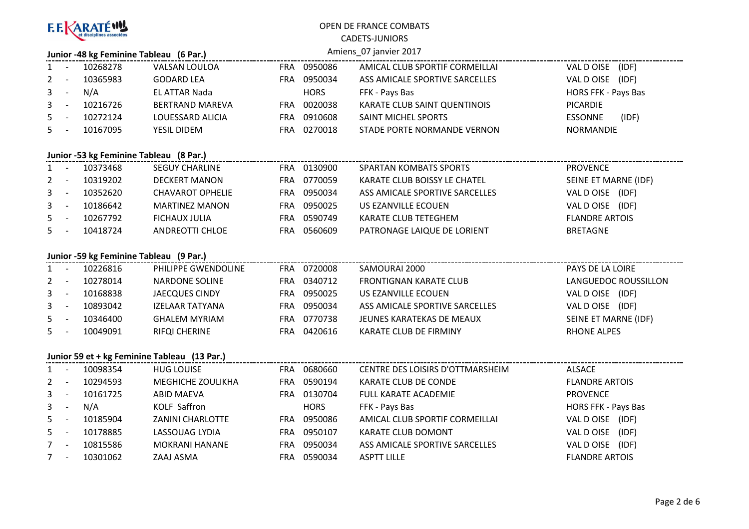| F. F. <b>ARATÉ WU</b> |
|-----------------------|
|-----------------------|

7 - <sup>10301062</sup> ZAAJ ASMA

# OPEN DE FRANCE COMBATS

CADETS-JUNIORS

|                | Amiens_07 janvier 2017<br>Junior -48 kg Feminine Tableau (6 Par.) |                                         |                                              |  |             |                                  |                            |  |  |  |  |  |
|----------------|-------------------------------------------------------------------|-----------------------------------------|----------------------------------------------|--|-------------|----------------------------------|----------------------------|--|--|--|--|--|
| 1              | $\sim$                                                            | 10268278                                | <b>VALSAN LOULOA</b>                         |  | FRA 0950086 | AMICAL CLUB SPORTIF CORMEILLAI   | VAL DOISE (IDF)            |  |  |  |  |  |
| 2              | $\sim$                                                            | 10365983                                | <b>GODARD LEA</b>                            |  | FRA 0950034 | ASS AMICALE SPORTIVE SARCELLES   | VAL DOISE (IDF)            |  |  |  |  |  |
| 3              | $\sim$                                                            | N/A                                     | <b>EL ATTAR Nada</b>                         |  | <b>HORS</b> | FFK - Pays Bas                   | HORS FFK - Pays Bas        |  |  |  |  |  |
| 3              | $\sim$                                                            | 10216726                                | <b>BERTRAND MAREVA</b>                       |  | FRA 0020038 | KARATE CLUB SAINT QUENTINOIS     | PICARDIE                   |  |  |  |  |  |
| 5              | $\sim$                                                            | 10272124                                | LOUESSARD ALICIA                             |  | FRA 0910608 | SAINT MICHEL SPORTS              | (IDF)<br><b>ESSONNE</b>    |  |  |  |  |  |
| 5              | $\sim$                                                            | 10167095                                | YESIL DIDEM                                  |  | FRA 0270018 | STADE PORTE NORMANDE VERNON      | <b>NORMANDIE</b>           |  |  |  |  |  |
|                | Junior -53 kg Feminine Tableau (8 Par.)                           |                                         |                                              |  |             |                                  |                            |  |  |  |  |  |
| 1              |                                                                   | 10373468                                | <b>SEGUY CHARLINE</b>                        |  | FRA 0130900 | <b>SPARTAN KOMBATS SPORTS</b>    | <b>PROVENCE</b>            |  |  |  |  |  |
| 2              | $\sim$                                                            | 10319202                                | <b>DECKERT MANON</b>                         |  | FRA 0770059 | KARATE CLUB BOISSY LE CHATEL     | SEINE ET MARNE (IDF)       |  |  |  |  |  |
| 3              | $\sim$ $-$                                                        | 10352620                                | <b>CHAVAROT OPHELIE</b>                      |  | FRA 0950034 | ASS AMICALE SPORTIVE SARCELLES   | VAL DOISE (IDF)            |  |  |  |  |  |
| 3              | $\sim$                                                            | 10186642                                | <b>MARTINEZ MANON</b>                        |  | FRA 0950025 | US EZANVILLE ECOUEN              | VAL DOISE (IDF)            |  |  |  |  |  |
| 5              | $\sim$                                                            | 10267792                                | <b>FICHAUX JULIA</b>                         |  | FRA 0590749 | <b>KARATE CLUB TETEGHEM</b>      | <b>FLANDRE ARTOIS</b>      |  |  |  |  |  |
| 5.             |                                                                   | 10418724                                | <b>ANDREOTTI CHLOE</b>                       |  | FRA 0560609 | PATRONAGE LAIQUE DE LORIENT      | <b>BRETAGNE</b>            |  |  |  |  |  |
|                |                                                                   | Junior -59 kg Feminine Tableau (9 Par.) |                                              |  |             |                                  |                            |  |  |  |  |  |
| 1              | $\sim$ $-$                                                        | 10226816                                | PHILIPPE GWENDOLINE                          |  | FRA 0720008 | SAMOURAI 2000                    | PAYS DE LA LOIRE           |  |  |  |  |  |
| 2              | $\sim$ $-$                                                        | 10278014                                | <b>NARDONE SOLINE</b>                        |  | FRA 0340712 | <b>FRONTIGNAN KARATE CLUB</b>    | LANGUEDOC ROUSSILLON       |  |  |  |  |  |
| 3              | $\sim$                                                            | 10168838                                | JAECQUES CINDY                               |  | FRA 0950025 | US EZANVILLE ECOUEN              | VAL DOISE (IDF)            |  |  |  |  |  |
| 3              | $\sim$                                                            | 10893042                                | <b>IZELAAR TATYANA</b>                       |  | FRA 0950034 | ASS AMICALE SPORTIVE SARCELLES   | VAL DOISE (IDF)            |  |  |  |  |  |
| 5              | $\sim$                                                            | 10346400                                | <b>GHALEM MYRIAM</b>                         |  | FRA 0770738 | JEUNES KARATEKAS DE MEAUX        | SEINE ET MARNE (IDF)       |  |  |  |  |  |
| 5.             |                                                                   | 10049091                                | <b>RIFQI CHERINE</b>                         |  | FRA 0420616 | KARATE CLUB DE FIRMINY           | <b>RHONE ALPES</b>         |  |  |  |  |  |
|                |                                                                   |                                         | Junior 59 et + kg Feminine Tableau (13 Par.) |  |             |                                  |                            |  |  |  |  |  |
| 1              |                                                                   | 10098354                                | <b>HUG LOUISE</b>                            |  | FRA 0680660 | CENTRE DES LOISIRS D'OTTMARSHEIM | <b>ALSACE</b>              |  |  |  |  |  |
| $\overline{2}$ | $\sim$                                                            | 10294593                                | MEGHICHE ZOULIKHA                            |  | FRA 0590194 | KARATE CLUB DE CONDE             | <b>FLANDRE ARTOIS</b>      |  |  |  |  |  |
| 3              | $\sim$                                                            | 10161725                                | <b>ABID MAEVA</b>                            |  | FRA 0130704 | FULL KARATE ACADEMIE             | <b>PROVENCE</b>            |  |  |  |  |  |
| 3              | $\sim$                                                            | N/A                                     | KOLF Saffron                                 |  | <b>HORS</b> | FFK - Pays Bas                   | <b>HORS FFK - Pays Bas</b> |  |  |  |  |  |
| 5              | $\sim$                                                            | 10185904                                | <b>ZANINI CHARLOTTE</b>                      |  | FRA 0950086 | AMICAL CLUB SPORTIF CORMEILLAI   | VAL DOISE (IDF)            |  |  |  |  |  |
| 5              | $\sim$ $-$                                                        | 10178885                                | LASSOUAG LYDIA                               |  | FRA 0950107 | KARATE CLUB DOMONT               | VAL DOISE (IDF)            |  |  |  |  |  |
| $7 -$          |                                                                   | 10815586                                | <b>MOKRANI HANANE</b>                        |  | FRA 0950034 | ASS AMICALE SPORTIVE SARCELLES   | VAL DOISE (IDF)            |  |  |  |  |  |

**EXALGE ART AND READ STATES ART ASPTT LILLE** ASPTT LILLE THE READ READ TO THE RAT OIS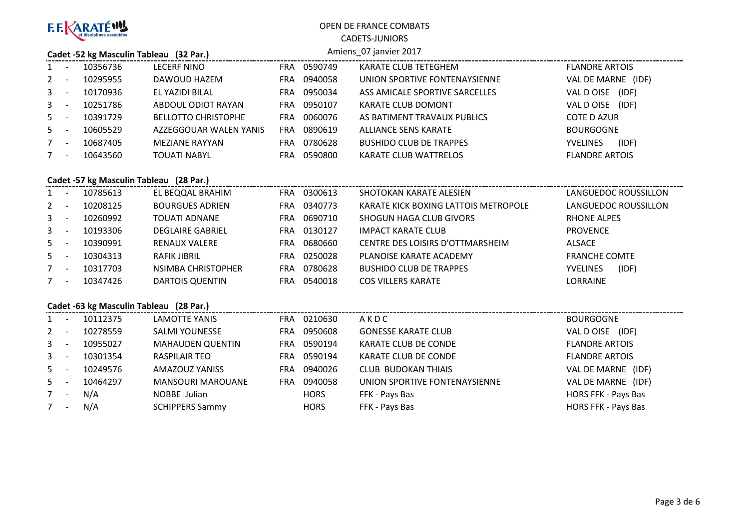

CADETS-JUNIORS

#### **Cadet -52 kg Masculin Tableau (32 Par.)**

| Amiens 07 janvier 2017 |  |  |
|------------------------|--|--|

|         | Cauce $32$ is induction radical (32 mars) |          |                            |            |         |                                |                          |  |  |  |
|---------|-------------------------------------------|----------|----------------------------|------------|---------|--------------------------------|--------------------------|--|--|--|
| $1 -$   |                                           | 10356736 | <b>LECERF NINO</b>         | FRA.       | 0590749 | KARATE CLUB TETEGHEM           | <b>FLANDRE ARTOIS</b>    |  |  |  |
| $2 -$   |                                           | 10295955 | DAWOUD HAZEM               | FRA.       | 0940058 | UNION SPORTIVE FONTENAYSIENNE  | VAL DE MARNE (IDF)       |  |  |  |
| $3 - 5$ |                                           | 10170936 | EL YAZIDI BILAL            | <b>FRA</b> | 0950034 | ASS AMICALE SPORTIVE SARCELLES | (IDF)<br>VAL D OISE      |  |  |  |
| $3 - 5$ |                                           | 10251786 | ABDOUL ODIOT RAYAN         | FRA.       | 0950107 | KARATE CLUB DOMONT             | VAL D OISE (IDF)         |  |  |  |
| $5 -$   |                                           | 10391729 | <b>BELLOTTO CHRISTOPHE</b> | <b>FRA</b> | 0060076 | AS BATIMENT TRAVAUX PUBLICS    | <b>COTE D AZUR</b>       |  |  |  |
| $5 -$   |                                           | 10605529 | AZZEGGOUAR WALEN YANIS     | <b>FRA</b> | 0890619 | ALLIANCE SENS KARATE           | <b>BOURGOGNE</b>         |  |  |  |
| $7 -$   |                                           | 10687405 | <b>MEZIANE RAYYAN</b>      | FRA        | 0780628 | <b>BUSHIDO CLUB DE TRAPPES</b> | (IDF)<br><b>YVELINES</b> |  |  |  |
| $7 -$   |                                           | 10643560 | <b>TOUATI NABYL</b>        | FRA        | 0590800 | KARATE CLUB WATTRELOS          | <b>FLANDRE ARTOIS</b>    |  |  |  |
|         |                                           |          |                            |            |         |                                |                          |  |  |  |

#### **Cadet -57 kg Masculin Tableau (28 Par.)**

|              | Caust -37 Kg Masculii Tabicau (20 Fail) |          |                         |            |         |                                      |                          |  |  |  |
|--------------|-----------------------------------------|----------|-------------------------|------------|---------|--------------------------------------|--------------------------|--|--|--|
| $1 \quad$    | $\overline{\phantom{a}}$                | 10785613 | EL BEQQAL BRAHIM        | FRA        | 0300613 | SHOTOKAN KARATE ALESIEN              | LANGUEDOC ROUSSILLON     |  |  |  |
| $2^{\circ}$  | - -                                     | 10208125 | <b>BOURGUES ADRIEN</b>  | <b>FRA</b> | 0340773 | KARATE KICK BOXING LATTOIS METROPOLE | LANGUEDOC ROUSSILLON     |  |  |  |
| $3 -$        |                                         | 10260992 | TOUATI ADNANE           | FRA.       | 0690710 | SHOGUN HAGA CLUB GIVORS              | <b>RHONE ALPES</b>       |  |  |  |
| $\mathbf{3}$ | <u>. на та</u>                          | 10193306 | <b>DEGLAIRE GABRIEL</b> | FRA        | 0130127 | <b>IMPACT KARATE CLUB</b>            | <b>PROVENCE</b>          |  |  |  |
| $5 -$        |                                         | 10390991 | <b>RENAUX VALERE</b>    | <b>FRA</b> | 0680660 | CENTRE DES LOISIRS D'OTTMARSHEIM     | ALSACE                   |  |  |  |
| $5 -$        |                                         | 10304313 | RAFIK JIBRIL            | FRA        | 0250028 | PLANOISE KARATE ACADEMY              | <b>FRANCHE COMTE</b>     |  |  |  |
|              | <b>.</b>                                | 10317703 | NSIMBA CHRISTOPHER      | FRA        | 0780628 | <b>BUSHIDO CLUB DE TRAPPES</b>       | (IDF)<br><b>YVELINES</b> |  |  |  |
|              | $\overline{\phantom{a}}$                | 10347426 | <b>DARTOIS QUENTIN</b>  | FRA        | 0540018 | <b>COS VILLERS KARATE</b>            | LORRAINE                 |  |  |  |
|              |                                         |          |                         |            |         |                                      |                          |  |  |  |

## **Cadet -63 kg Masculin Tableau (28 Par.)**

| 1            | $\overline{\phantom{a}}$ | 10112375 | <b>LAMOTTE YANIS</b>     | <b>FRA</b> | 0210630     | AKDC                          | BOURGOGNE             |
|--------------|--------------------------|----------|--------------------------|------------|-------------|-------------------------------|-----------------------|
| $\mathbf{2}$ | $\overline{\phantom{a}}$ | 10278559 | SALMI YOUNESSE           | FRA.       | 0950608     | <b>GONESSE KARATE CLUB</b>    | VAL DOISE (IDF)       |
| $3 -$        |                          | 10955027 | <b>MAHAUDEN QUENTIN</b>  | FRA        | 0590194     | <b>KARATE CLUB DE CONDE</b>   | <b>FLANDRE ARTOIS</b> |
| $\mathbf{3}$ | <b>.</b>                 | 10301354 | <b>RASPILAIR TEO</b>     | FRA        | 0590194     | KARATE CLUB DE CONDE          | <b>FLANDRE ARTOIS</b> |
| $5 -$        |                          | 10249576 | AMAZOUZ YANISS           | FRA        | 0940026     | <b>CLUB BUDOKAN THIAIS</b>    | VAL DE MARNE (IDF)    |
| $5 -$        |                          | 10464297 | <b>MANSOURI MAROUANE</b> | FRA.       | 0940058     | UNION SPORTIVE FONTENAYSIENNE | VAL DE MARNE (IDF)    |
| 7            | $\overline{\phantom{a}}$ | N/A      | NOBBE Julian             |            | <b>HORS</b> | FFK - Pays Bas                | HORS FFK - Pays Bas   |
|              | $\overline{\phantom{a}}$ | N/A      | <b>SCHIPPERS Sammy</b>   |            | <b>HORS</b> | FFK - Pays Bas                | HORS FFK - Pays Bas   |
|              |                          |          |                          |            |             |                               |                       |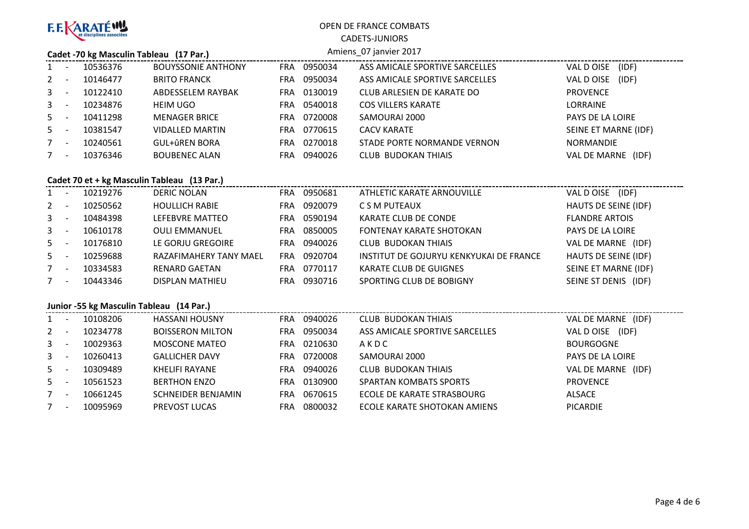

CADETS-JUNIORS

#### **Cadet -70 kg Masculin Tableau (17 Par.)**

#### Amiens\_07 janvier 2017

|              | $\overline{\phantom{a}}$ | 10536376 | <b>BOUYSSONIE ANTHONY</b> | <b>FRA</b> | 0950034 | ASS AMICALE SPORTIVE SARCELLES | (IDF)<br>VAL D OISE     |
|--------------|--------------------------|----------|---------------------------|------------|---------|--------------------------------|-------------------------|
| $2^{\circ}$  |                          | 10146477 | <b>BRITO FRANCK</b>       | FRA        | 0950034 | ASS AMICALE SPORTIVE SARCELLES | (IDF)<br>VAL DOISE      |
| $3^{\circ}$  | $\overline{\phantom{a}}$ | 10122410 | ABDESSELEM RAYBAK         | FRA        | 0130019 | CLUB ARLESIEN DE KARATE DO     | <b>PROVENCE</b>         |
| $\mathbf{3}$ | $\overline{\phantom{a}}$ | 10234876 | <b>HEIM UGO</b>           | FRA        | 0540018 | <b>COS VILLERS KARATE</b>      | <b>LORRAINE</b>         |
| $5 -$        |                          | 10411298 | <b>MENAGER BRICE</b>      | <b>FRA</b> | 0720008 | SAMOURAI 2000                  | <b>PAYS DE LA LOIRE</b> |
| $5 -$        |                          | 10381547 | <b>VIDALLED MARTIN</b>    | FRA        | 0770615 | <b>CACV KARATE</b>             | SEINE ET MARNE (IDF)    |
|              | $\overline{\phantom{a}}$ | 10240561 | <b>GUL+ûREN BORA</b>      | FRA        | 0270018 | STADE PORTE NORMANDE VERNON    | <b>NORMANDIE</b>        |
| 7            | $\overline{\phantom{a}}$ | 10376346 | <b>BOUBENEC ALAN</b>      | FRA        | 0940026 | CLUB BUDOKAN THIAIS            | VAL DE MARNE<br>(IDF)   |
|              |                          |          |                           |            |         |                                |                         |

# **Cadet 70 et + kg Masculin Tableau (13 Par.)**

|         |          |                        | Cauel 70 et + kg ividscuilli Tableau (15 Par.) |         |                                         |                       |  |  |  |  |  |  |  |
|---------|----------|------------------------|------------------------------------------------|---------|-----------------------------------------|-----------------------|--|--|--|--|--|--|--|
| $1 -$   | 10219276 | <b>DERIC NOLAN</b>     | <b>FRA</b>                                     | 0950681 | ATHLETIC KARATE ARNOUVILLE              | VAL D OISE (IDF)      |  |  |  |  |  |  |  |
| $2 -$   | 10250562 | <b>HOULLICH RABIE</b>  | FRA.                                           | 0920079 | C S M PUTEAUX                           | HAUTS DE SEINE (IDF)  |  |  |  |  |  |  |  |
| $3 -$   | 10484398 | LEFEBVRE MATTEO        | FRA.                                           | 0590194 | KARATE CLUB DE CONDE                    | <b>FLANDRE ARTOIS</b> |  |  |  |  |  |  |  |
| $3 - 5$ | 10610178 | <b>OULI EMMANUEL</b>   | FRA.                                           | 0850005 | <b>FONTENAY KARATE SHOTOKAN</b>         | PAYS DE LA LOIRE      |  |  |  |  |  |  |  |
| $5 -$   | 10176810 | LE GORJU GREGOIRE      | FRA.                                           | 0940026 | CLUB BUDOKAN THIAIS                     | VAL DE MARNE (IDF)    |  |  |  |  |  |  |  |
| $5 -$   | 10259688 | RAZAFIMAHERY TANY MAEL | FRA.                                           | 0920704 | INSTITUT DE GOJURYU KENKYUKAI DE FRANCE | HAUTS DE SEINE (IDF)  |  |  |  |  |  |  |  |
| $7 -$   | 10334583 | <b>RENARD GAETAN</b>   | FRA.                                           | 0770117 | KARATE CLUB DE GUIGNES                  | SEINE ET MARNE (IDF)  |  |  |  |  |  |  |  |
| $7 -$   | 10443346 | <b>DISPLAN MATHIEU</b> | FRA.                                           | 0930716 | SPORTING CLUB DE BOBIGNY                | SEINE ST DENIS (IDF)  |  |  |  |  |  |  |  |
|         |          |                        |                                                |         |                                         |                       |  |  |  |  |  |  |  |

# **Junior -55 kg Masculin Tableau (14 Par.)**

| $1 -$       |                          | 10108206 | <b>HASSANI HOUSNY</b>     | <b>FRA</b> | 0940026 | CLUB BUDOKAN THIAIS            | VAL DE MARNE (IDF)  |
|-------------|--------------------------|----------|---------------------------|------------|---------|--------------------------------|---------------------|
| $2 -$       |                          | 10234778 | <b>BOISSERON MILTON</b>   | FRA        | 0950034 | ASS AMICALE SPORTIVE SARCELLES | (IDF)<br>VAL D OISE |
| $3^{\circ}$ | $\overline{\phantom{a}}$ | 10029363 | MOSCONE MATEO             | FRA        | 0210630 | AKDC                           | <b>BOURGOGNE</b>    |
| $3 -$       |                          | 10260413 | <b>GALLICHER DAVY</b>     | FRA        | 0720008 | SAMOURAI 2000                  | PAYS DE LA LOIRE    |
| $5 -$       |                          | 10309489 | KHELIFI RAYANE            | FRA        | 0940026 | <b>CLUB BUDOKAN THIAIS</b>     | VAL DE MARNE (IDF)  |
| $5 -$       |                          | 10561523 | <b>BERTHON ENZO</b>       | FRA        | 0130900 | <b>SPARTAN KOMBATS SPORTS</b>  | <b>PROVENCE</b>     |
|             | $\overline{\phantom{a}}$ | 10661245 | <b>SCHNEIDER BENJAMIN</b> | FRA        | 0670615 | ECOLE DE KARATE STRASBOURG     | <b>ALSACE</b>       |
|             | $\overline{\phantom{a}}$ | 10095969 | <b>PREVOST LUCAS</b>      | FRA        | 0800032 | ECOLE KARATE SHOTOKAN AMIENS   | <b>PICARDIE</b>     |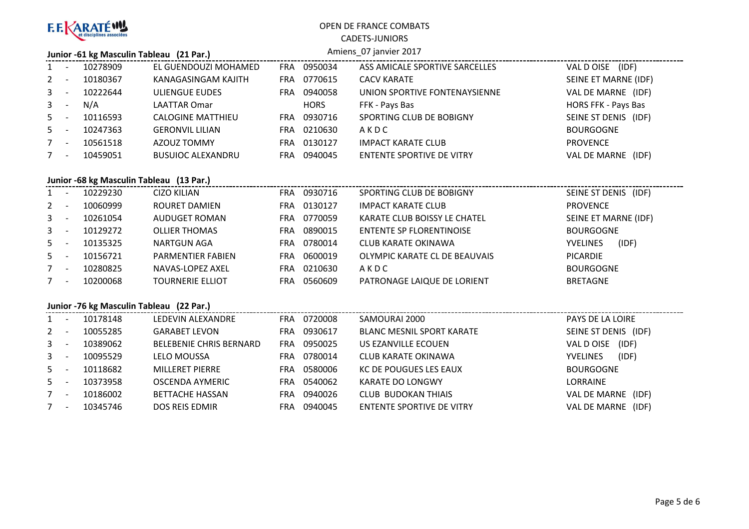

#### CADETS-JUNIORS

#### **Junior -61 kg Masculin Tableau (21 Par.)**

#### Amiens\_07 janvier 2017

| 1            |                          | 10278909 | EL GUENDOUZI MOHAMED     | <b>FRA</b> | 0950034     | ASS AMICALE SPORTIVE SARCELLES   | VAL D OISE (IDF)     |  |  |
|--------------|--------------------------|----------|--------------------------|------------|-------------|----------------------------------|----------------------|--|--|
| $2 -$        |                          | 10180367 | KANAGASINGAM KAJITH      | FRA.       | 0770615     | <b>CACV KARATE</b>               | SEINE ET MARNE (IDF) |  |  |
| $\mathbf{3}$ |                          | 10222644 | <b>ULIENGUE EUDES</b>    | FRA.       | 0940058     | UNION SPORTIVE FONTENAYSIENNE    | VAL DE MARNE (IDF)   |  |  |
| $3 - 5$      |                          | N/A      | LAATTAR Omar             |            | <b>HORS</b> | FFK - Pays Bas                   | HORS FFK - Pays Bas  |  |  |
| $5 -$        |                          | 10116593 | <b>CALOGINE MATTHIEU</b> | FRA.       | 0930716     | SPORTING CLUB DE BOBIGNY         | SEINE ST DENIS (IDF) |  |  |
| $5 -$        |                          | 10247363 | <b>GERONVIL LILIAN</b>   | FRA        | 0210630     | AKDC                             | <b>BOURGOGNE</b>     |  |  |
|              | $\overline{\phantom{0}}$ | 10561518 | AZOUZ TOMMY              | <b>FRA</b> | 0130127     | <b>IMPACT KARATE CLUB</b>        | <b>PROVENCE</b>      |  |  |
| $7^{\circ}$  |                          | 10459051 | <b>BUSUIOC ALEXANDRU</b> | FRA        | 0940045     | <b>ENTENTE SPORTIVE DE VITRY</b> | VAL DE MARNE (IDF)   |  |  |
|              |                          |          |                          |            |             |                                  |                      |  |  |

# **Junior -68 kg Masculin Tableau (13 Par.)**

|         | JUINOI -00 Kg IVIASCUINI TADIEAU (15 FAI.) |          |                          |            |         |                               |                          |  |
|---------|--------------------------------------------|----------|--------------------------|------------|---------|-------------------------------|--------------------------|--|
| $1 -$   |                                            | 10229230 | CIZO KILIAN              | <b>FRA</b> | 0930716 | SPORTING CLUB DE BOBIGNY      | SEINE ST DENIS (IDF)     |  |
| $2 -$   |                                            | 10060999 | ROURET DAMIEN            | <b>FRA</b> | 0130127 | <b>IMPACT KARATE CLUB</b>     | <b>PROVENCE</b>          |  |
| $3 - 5$ |                                            | 10261054 | AUDUGET ROMAN            | <b>FRA</b> | 0770059 | KARATE CLUB BOISSY LE CHATEL  | SEINE ET MARNE (IDF)     |  |
| $3 - 5$ |                                            | 10129272 | <b>OLLIER THOMAS</b>     | <b>FRA</b> | 0890015 | ENTENTE SP FLORENTINOISE      | <b>BOURGOGNE</b>         |  |
| $5 -$   |                                            | 10135325 | NARTGUN AGA              | FRA.       | 0780014 | CLUB KARATE OKINAWA           | (IDF)<br><b>YVELINES</b> |  |
| $5 -$   |                                            | 10156721 | <b>PARMENTIER FABIEN</b> | <b>FRA</b> | 0600019 | OLYMPIC KARATE CL DE BEAUVAIS | PICARDIE                 |  |
| $7 -$   |                                            | 10280825 | NAVAS-LOPEZ AXEL         | FRA        | 0210630 | AKDC                          | <b>BOURGOGNE</b>         |  |
| $7 -$   |                                            | 10200068 | <b>TOURNERIE ELLIOT</b>  | <b>FRA</b> | 0560609 | PATRONAGE LAIQUE DE LORIENT   | <b>BRETAGNE</b>          |  |
|         |                                            |          |                          |            |         |                               |                          |  |

## **Junior -76 kg Masculin Tableau (22 Par.)**

| $\mathbf{1}$   | 10178148 | LEDEVIN ALEXANDRE              | <b>FRA</b> | 0720008 | SAMOURAI 2000                    | PAYS DE LA LOIRE         |
|----------------|----------|--------------------------------|------------|---------|----------------------------------|--------------------------|
| $2 -$          | 10055285 | <b>GARABET LEVON</b>           | FRA        | 0930617 | <b>BLANC MESNIL SPORT KARATE</b> | SEINE ST DENIS (IDF)     |
| 3 <sup>1</sup> | 10389062 | <b>BELEBENIE CHRIS BERNARD</b> | FRA        | 0950025 | US EZANVILLE ECOUEN              | (IDF)<br>VAL DOISE       |
| $\mathbf{3}$   | 10095529 | <b>LELO MOUSSA</b>             | FRA        | 0780014 | CLUB KARATE OKINAWA              | (IDF)<br><b>YVELINES</b> |
| $5 -$          | 10118682 | <b>MILLERET PIERRE</b>         | FRA        | 0580006 | KC DE POUGUES LES EAUX           | <b>BOURGOGNE</b>         |
| $5 -$          | 10373958 | OSCENDA AYMERIC                | <b>FRA</b> | 0540062 | KARATE DO LONGWY                 | <b>LORRAINE</b>          |
|                | 10186002 | <b>BETTACHE HASSAN</b>         | FRA        | 0940026 | CLUB BUDOKAN THIAIS              | VAL DE MARNE (IDF)       |
|                | 10345746 | <b>DOS REIS EDMIR</b>          | FRA        | 0940045 | ENTENTE SPORTIVE DE VITRY        | VAL DE MARNE (IDF)       |